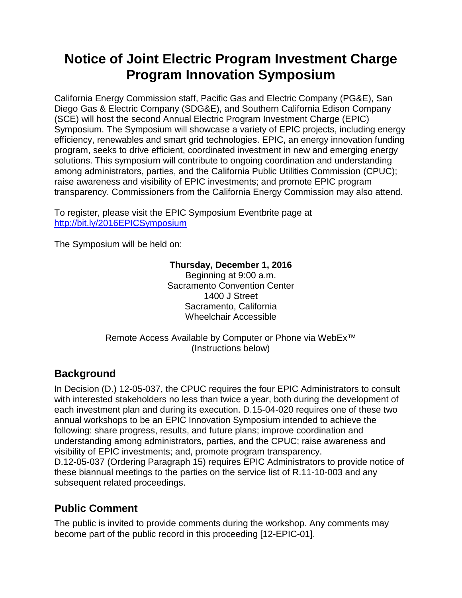# **Notice of Joint Electric Program Investment Charge Program Innovation Symposium**

California Energy Commission staff, Pacific Gas and Electric Company (PG&E), San Diego Gas & Electric Company (SDG&E), and Southern California Edison Company (SCE) will host the second Annual Electric Program Investment Charge (EPIC) Symposium. The Symposium will showcase a variety of EPIC projects, including energy efficiency, renewables and smart grid technologies. EPIC, an energy innovation funding program, seeks to drive efficient, coordinated investment in new and emerging energy solutions. This symposium will contribute to ongoing coordination and understanding among administrators, parties, and the California Public Utilities Commission (CPUC); raise awareness and visibility of EPIC investments; and promote EPIC program transparency. Commissioners from the California Energy Commission may also attend.

To register, please visit the EPIC Symposium Eventbrite page at <http://bit.ly/2016EPICSymposium>

The Symposium will be held on:

#### **Thursday, December 1, 2016**

Beginning at 9:00 a.m. Sacramento Convention Center 1400 J Street Sacramento, California Wheelchair Accessible

Remote Access Available by Computer or Phone via WebEx™ (Instructions below)

# **Background**

In Decision (D.) 12-05-037, the CPUC requires the four EPIC Administrators to consult with interested stakeholders no less than twice a year, both during the development of each investment plan and during its execution. D.15-04-020 requires one of these two annual workshops to be an EPIC Innovation Symposium intended to achieve the following: share progress, results, and future plans; improve coordination and understanding among administrators, parties, and the CPUC; raise awareness and visibility of EPIC investments; and, promote program transparency. D.12-05-037 (Ordering Paragraph 15) requires EPIC Administrators to provide notice of these biannual meetings to the parties on the service list of R.11-10-003 and any subsequent related proceedings.

# **Public Comment**

The public is invited to provide comments during the workshop. Any comments may become part of the public record in this proceeding [12-EPIC-01].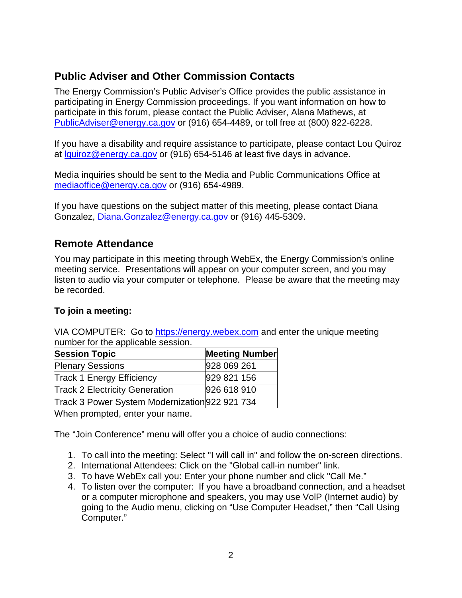## **Public Adviser and Other Commission Contacts**

The Energy Commission's Public Adviser's Office provides the public assistance in participating in Energy Commission proceedings. If you want information on how to participate in this forum, please contact the Public Adviser, Alana Mathews, at [PublicAdviser@energy.ca.gov](mailto:PublicAdviser@energy.ca.gov) or (916) 654-4489, or toll free at (800) 822-6228.

If you have a disability and require assistance to participate, please contact Lou Quiroz at [lquiroz@energy.ca.gov](mailto:lquiroz@energy.ca.gov) or (916) 654-5146 at least five days in advance.

Media inquiries should be sent to the Media and Public Communications Office at [mediaoffice@energy.ca.gov](mailto:mediaoffice@energy.ca.gov) or (916) 654-4989.

If you have questions on the subject matter of this meeting, please contact Diana Gonzalez, [Diana.Gonzalez@energy.ca.gov](mailto:Diana.Gonzalez@energy.ca.gov) or (916) 445-5309.

## **Remote Attendance**

You may participate in this meeting through WebEx, the Energy Commission's online meeting service. Presentations will appear on your computer screen, and you may listen to audio via your computer or telephone. Please be aware that the meeting may be recorded.

#### **To join a meeting:**

VIA COMPUTER: Go to [https://energy.webex.com](https://energy.webex.com/) and enter the unique meeting number for the applicable session.

| <b>Session Topic</b>                           | <b>Meeting Number</b> |
|------------------------------------------------|-----------------------|
| <b>Plenary Sessions</b>                        | 928 069 261           |
| <b>Track 1 Energy Efficiency</b>               | 929 821 156           |
| <b>Track 2 Electricity Generation</b>          | 926 618 910           |
| Track 3 Power System Modernization 922 921 734 |                       |

When prompted, enter your name.

The "Join Conference" menu will offer you a choice of audio connections:

- 1. To call into the meeting: Select "I will call in" and follow the on-screen directions.
- 2. International Attendees: Click on the "Global call-in number" link.
- 3. To have WebEx call you: Enter your phone number and click "Call Me."
- 4. To listen over the computer: If you have a broadband connection, and a headset or a computer microphone and speakers, you may use VolP (Internet audio) by going to the Audio menu, clicking on "Use Computer Headset," then "Call Using Computer."